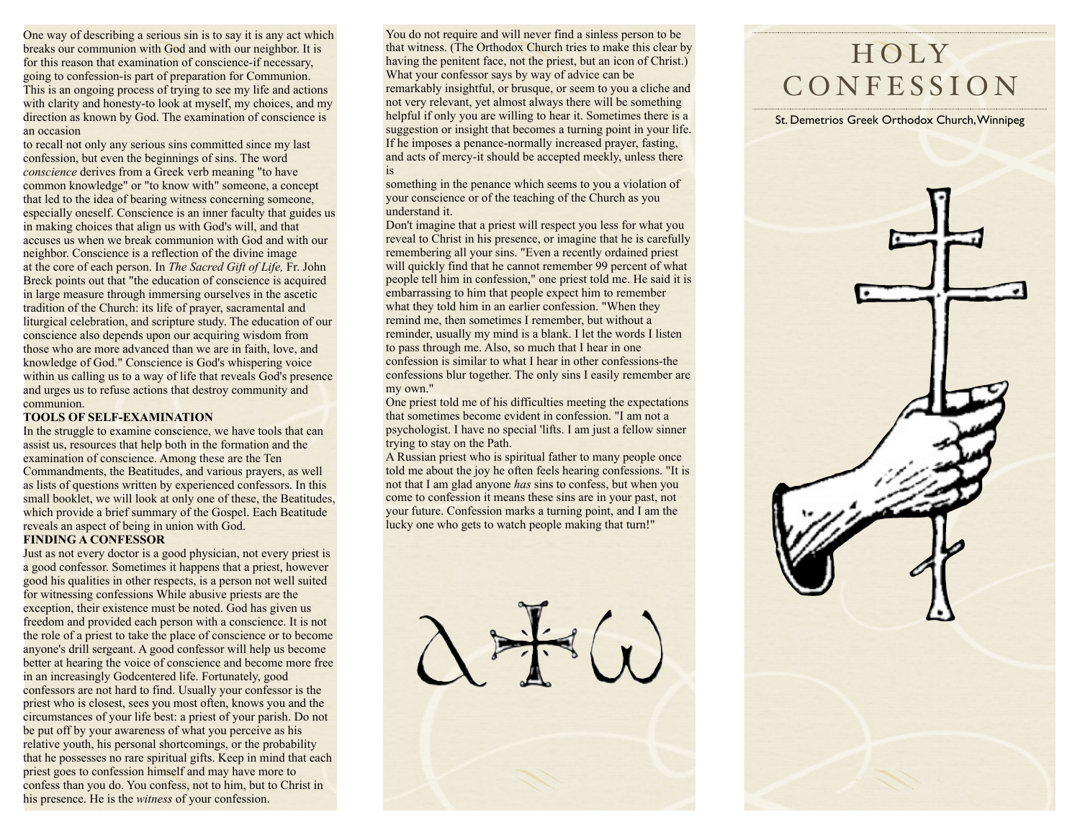One way of describing a serious sin is to say it is any act which breaks our communion with God and with our neighbor. It is for this reason that examination of conscience-if necessary, going to confession-is part of preparation for Communion. This is an ongoing process of trying to see my life and actions with clarity and honesty-to look at myself, my choices, and my direction as known by God. The examination of conscience is an occasion

to recall not only any serious sins committed since my last confession, but even the beginnings of sins. The word *conscience* derives from a Greek verb meaning "to have common knowledge" or "to know with" someone, a concept that led to the idea of bearing witness concerning someone, especially oneself. Conscience is an inner faculty that guides us in making choices that align us with God's will, and that accuses us when we break communion with God and with our neighbor. Conscience is a reflection of the divine image at the core of each person. In *The Sacred Gift of Life,* Fr. John Breck points out that "the education of conscience is acquired in large measure through immersing ourselves in the ascetic tradition of the Church: its life of prayer, sacramental and liturgical celebration, and scripture study. The education of our conscience also depends upon our acquiring wisdom from those who are more advanced than we are in faith, love, and knowledge of God." Conscience is God's whispering voice within us calling us to a way of life that reveals God's presence and urges us to refuse actions that destroy community and communion.

### **TOOLS OF SELF-EXAMINATION**

In the struggle to examine conscience, we have tools that can assist us, resources that help both in the formation and the examination of conscience. Among these are the Ten Commandments, the Beatitudes, and various prayers, as well as lists of questions written by experienced confessors. In this small booklet, we will look at only one of these, the Beatitudes, which provide a brief summary of the Gospel. Each Beatitude reveals an aspect of being in union with God.

## **FINDING A CONFESSOR**

Just as not every doctor is a good physician, not every priest is a good confessor. Sometimes it happens that a priest, however good his qualities in other respects, is a person not well suited for witnessing confessions While abusive priests are the exception, their existence must be noted. God has given us freedom and provided each person with a conscience. It is not the role of a priest to take the place of conscience or to become anyone's drill sergeant. A good confessor will help us become better at hearing the voice of conscience and become more free in an increasingly Godcentered life. Fortunately, good confessors are not hard to find. Usually your confessor is the priest who is closest, sees you most often, knows you and the circumstances of your life best: a priest of your parish. Do not be put off by your awareness of what you perceive as his relative youth, his personal shortcomings, or the probability that he possesses no rare spiritual gifts. Keep in mind that each priest goes to confession himself and may have more to confess than you do. You confess, not to him, but to Christ in his presence. He is the *witness* of your confession.

You do not require and will never find a sinless person to be that witness. (The Orthodox Church tries to make this clear by having the penitent face, not the priest, but an icon of Christ.) What your confessor says by way of advice can be remarkably insightful, or brusque, or seem to you a cliche and not very relevant, yet almost always there will be something helpful if only you are willing to hear it. Sometimes there is a suggestion or insight that becomes a turning point in your life. If he imposes a penance-normally increased prayer, fasting, and acts of mercy-it should be accepted meekly, unless there is

something in the penance which seems to you a violation of your conscience or of the teaching of the Church as you understand it.

Don't imagine that a priest will respect you less for what you reveal to Christ in his presence, or imagine that he is carefully remembering all your sins. "Even a recently ordained priest will quickly find that he cannot remember 99 percent of what people tell him in confession," one priest told me. He said it is embarrassing to him that people expect him to remember what they told him in an earlier confession. "When they remind me, then sometimes I remember, but without a reminder, usually my mind is a blank. I let the words I listen to pass through me. Also, so much that I hear in one confession is similar to what I hear in other confessions-the confessions blur together. The only sins I easily remember are my own."

One priest told me of his difficulties meeting the expectations that sometimes become evident in confession. "I am not a psychologist. I have no special 'lifts. I am just a fellow sinner trying to stay on the Path.

A Russian priest who is spiritual father to many people once told me about the joy he often feels hearing confessions. "It is not that I am glad anyone *has* sins to confess, but when you come to confession it means these sins are in your past, not your future. Confession marks a turning point, and I am the lucky one who gets to watch people making that turn!"

# H O LY **CONFESSION**

St. Demetrios Greek Orthodox Church, Winnipeg